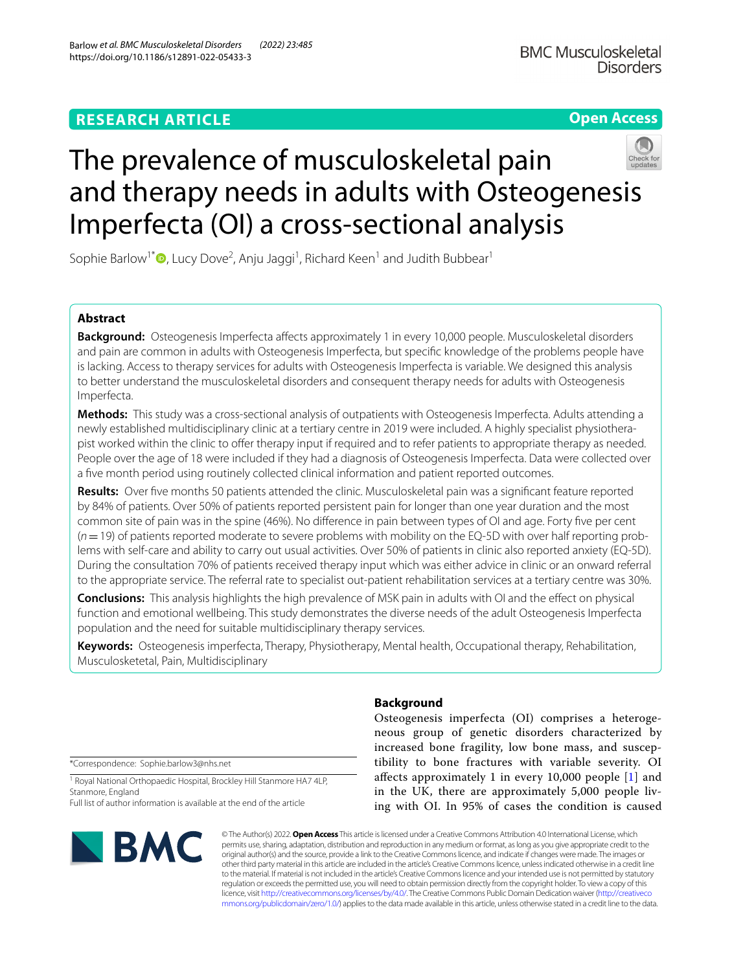**Open Access**

# The prevalence of musculoskeletal pain and therapy needs in adults with Osteogenesis Imperfecta (OI) a cross-sectional analysis

Sophie Barlow<sup>1[\\*](http://orcid.org/0000-0002-4680-6742)</sup><sup>®</sup>, Lucy Dove<sup>2</sup>, Anju Jaggi<sup>1</sup>, Richard Keen<sup>1</sup> and Judith Bubbear<sup>1</sup>

# **Abstract**

**Background:** Osteogenesis Imperfecta affects approximately 1 in every 10,000 people. Musculoskeletal disorders and pain are common in adults with Osteogenesis Imperfecta, but specifc knowledge of the problems people have is lacking. Access to therapy services for adults with Osteogenesis Imperfecta is variable. We designed this analysis to better understand the musculoskeletal disorders and consequent therapy needs for adults with Osteogenesis Imperfecta.

**Methods:** This study was a cross-sectional analysis of outpatients with Osteogenesis Imperfecta. Adults attending a newly established multidisciplinary clinic at a tertiary centre in 2019 were included. A highly specialist physiotherapist worked within the clinic to ofer therapy input if required and to refer patients to appropriate therapy as needed. People over the age of 18 were included if they had a diagnosis of Osteogenesis Imperfecta. Data were collected over a fve month period using routinely collected clinical information and patient reported outcomes.

**Results:** Over fve months 50 patients attended the clinic. Musculoskeletal pain was a signifcant feature reported by 84% of patients. Over 50% of patients reported persistent pain for longer than one year duration and the most common site of pain was in the spine (46%). No diference in pain between types of OI and age. Forty fve per cent (*n*=19) of patients reported moderate to severe problems with mobility on the EQ-5D with over half reporting problems with self-care and ability to carry out usual activities. Over 50% of patients in clinic also reported anxiety (EQ-5D). During the consultation 70% of patients received therapy input which was either advice in clinic or an onward referral to the appropriate service. The referral rate to specialist out-patient rehabilitation services at a tertiary centre was 30%.

**Conclusions:** This analysis highlights the high prevalence of MSK pain in adults with OI and the efect on physical function and emotional wellbeing. This study demonstrates the diverse needs of the adult Osteogenesis Imperfecta population and the need for suitable multidisciplinary therapy services.

**Keywords:** Osteogenesis imperfecta, Therapy, Physiotherapy, Mental health, Occupational therapy, Rehabilitation, Musculosketetal, Pain, Multidisciplinary

\*Correspondence: Sophie.barlow3@nhs.net

<sup>1</sup> Royal National Orthopaedic Hospital, Brockley Hill Stanmore HA7 4LP, Stanmore, England

Full list of author information is available at the end of the article



# **Background**

Osteogenesis imperfecta (OI) comprises a heterogeneous group of genetic disorders characterized by increased bone fragility, low bone mass, and susceptibility to bone fractures with variable severity. OI afects approximately 1 in every 10,000 people [\[1](#page-6-0)] and in the UK, there are approximately 5,000 people living with OI. In 95% of cases the condition is caused

© The Author(s) 2022. **Open Access** This article is licensed under a Creative Commons Attribution 4.0 International License, which permits use, sharing, adaptation, distribution and reproduction in any medium or format, as long as you give appropriate credit to the original author(s) and the source, provide a link to the Creative Commons licence, and indicate if changes were made. The images or other third party material in this article are included in the article's Creative Commons licence, unless indicated otherwise in a credit line to the material. If material is not included in the article's Creative Commons licence and your intended use is not permitted by statutory regulation or exceeds the permitted use, you will need to obtain permission directly from the copyright holder. To view a copy of this licence, visit [http://creativecommons.org/licenses/by/4.0/.](http://creativecommons.org/licenses/by/4.0/) The Creative Commons Public Domain Dedication waiver ([http://creativeco](http://creativecommons.org/publicdomain/zero/1.0/) [mmons.org/publicdomain/zero/1.0/](http://creativecommons.org/publicdomain/zero/1.0/)) applies to the data made available in this article, unless otherwise stated in a credit line to the data.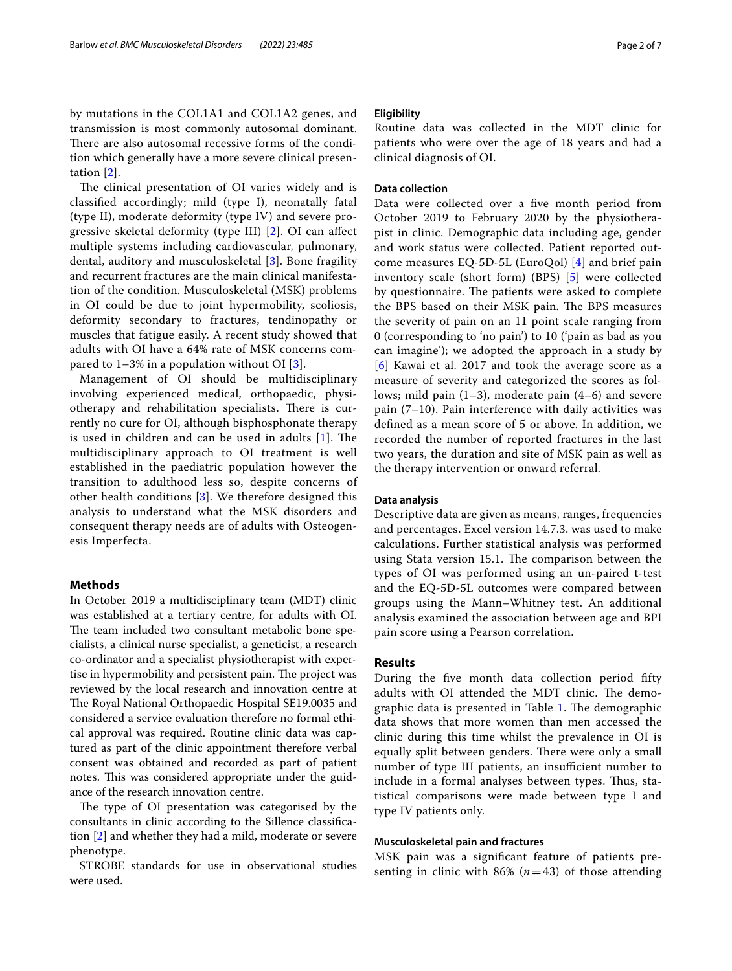by mutations in the COL1A1 and COL1A2 genes, and transmission is most commonly autosomal dominant. There are also autosomal recessive forms of the condition which generally have a more severe clinical presentation [\[2\]](#page-6-1).

The clinical presentation of OI varies widely and is classifed accordingly; mild (type I), neonatally fatal (type II), moderate deformity (type IV) and severe progressive skeletal deformity (type III) [[2\]](#page-6-1). OI can afect multiple systems including cardiovascular, pulmonary, dental, auditory and musculoskeletal [\[3](#page-6-2)]. Bone fragility and recurrent fractures are the main clinical manifestation of the condition. Musculoskeletal (MSK) problems in OI could be due to joint hypermobility, scoliosis, deformity secondary to fractures, tendinopathy or muscles that fatigue easily. A recent study showed that adults with OI have a 64% rate of MSK concerns compared to  $1-3\%$  in a population without OI [\[3\]](#page-6-2).

Management of OI should be multidisciplinary involving experienced medical, orthopaedic, physiotherapy and rehabilitation specialists. There is currently no cure for OI, although bisphosphonate therapy is used in children and can be used in adults  $[1]$  $[1]$ . The multidisciplinary approach to OI treatment is well established in the paediatric population however the transition to adulthood less so, despite concerns of other health conditions [\[3](#page-6-2)]. We therefore designed this analysis to understand what the MSK disorders and consequent therapy needs are of adults with Osteogenesis Imperfecta.

## **Methods**

In October 2019 a multidisciplinary team (MDT) clinic was established at a tertiary centre, for adults with OI. The team included two consultant metabolic bone specialists, a clinical nurse specialist, a geneticist, a research co-ordinator and a specialist physiotherapist with expertise in hypermobility and persistent pain. The project was reviewed by the local research and innovation centre at The Royal National Orthopaedic Hospital SE19.0035 and considered a service evaluation therefore no formal ethical approval was required. Routine clinic data was captured as part of the clinic appointment therefore verbal consent was obtained and recorded as part of patient notes. This was considered appropriate under the guidance of the research innovation centre.

The type of OI presentation was categorised by the consultants in clinic according to the Sillence classifcation [[2\]](#page-6-1) and whether they had a mild, moderate or severe phenotype.

STROBE standards for use in observational studies were used.

## **Eligibility**

Routine data was collected in the MDT clinic for patients who were over the age of 18 years and had a clinical diagnosis of OI.

## **Data collection**

Data were collected over a fve month period from October 2019 to February 2020 by the physiotherapist in clinic. Demographic data including age, gender and work status were collected. Patient reported outcome measures EQ-5D-5L (EuroQol) [\[4](#page-6-3)] and brief pain inventory scale (short form) (BPS) [[5\]](#page-6-4) were collected by questionnaire. The patients were asked to complete the BPS based on their MSK pain. The BPS measures the severity of pain on an 11 point scale ranging from 0 (corresponding to 'no pain') to 10 ('pain as bad as you can imagine'); we adopted the approach in a study by [[6](#page-6-5)] Kawai et al. 2017 and took the average score as a measure of severity and categorized the scores as follows; mild pain  $(1-3)$ , moderate pain  $(4-6)$  and severe pain (7–10). Pain interference with daily activities was defned as a mean score of 5 or above. In addition, we recorded the number of reported fractures in the last two years, the duration and site of MSK pain as well as the therapy intervention or onward referral.

## **Data analysis**

Descriptive data are given as means, ranges, frequencies and percentages. Excel version 14.7.3. was used to make calculations. Further statistical analysis was performed using Stata version 15.1. The comparison between the types of OI was performed using an un-paired t-test and the EQ-5D-5L outcomes were compared between groups using the Mann–Whitney test. An additional analysis examined the association between age and BPI pain score using a Pearson correlation.

## **Results**

During the fve month data collection period ffty adults with OI attended the MDT clinic. The demo-graphic data is presented in Table [1.](#page-2-0) The demographic data shows that more women than men accessed the clinic during this time whilst the prevalence in OI is equally split between genders. There were only a small number of type III patients, an insufficient number to include in a formal analyses between types. Thus, statistical comparisons were made between type I and type IV patients only.

## **Musculoskeletal pain and fractures**

MSK pain was a signifcant feature of patients presenting in clinic with 86%  $(n=43)$  of those attending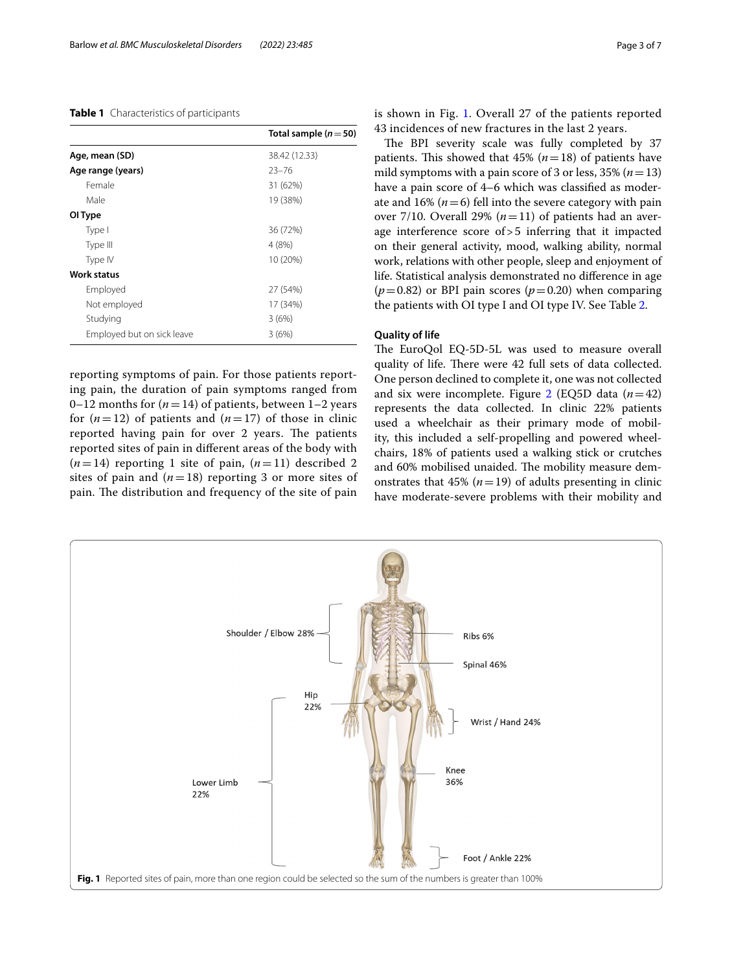## <span id="page-2-0"></span>**Table 1** Characteristics of participants

|                            | Total sample $(n=50)$ |
|----------------------------|-----------------------|
| Age, mean (SD)             | 38.42 (12.33)         |
| Age range (years)          | $23 - 76$             |
| Female                     | 31 (62%)              |
| Male                       | 19 (38%)              |
| OI Type                    |                       |
| Type I                     | 36 (72%)              |
| Type III                   | 4(8%)                 |
| Type IV                    | 10 (20%)              |
| Work status                |                       |
| Employed                   | 27 (54%)              |
| Not employed               | 17 (34%)              |
| Studying                   | 3(6%)                 |
| Employed but on sick leave | 3(6%)                 |

reporting symptoms of pain. For those patients reporting pain, the duration of pain symptoms ranged from 0–12 months for  $(n=14)$  of patients, between 1–2 years for  $(n=12)$  of patients and  $(n=17)$  of those in clinic reported having pain for over 2 years. The patients reported sites of pain in diferent areas of the body with  $(n=14)$  reporting 1 site of pain,  $(n=11)$  described 2 sites of pain and  $(n=18)$  reporting 3 or more sites of pain. The distribution and frequency of the site of pain is shown in Fig. [1.](#page-2-1) Overall 27 of the patients reported 43 incidences of new fractures in the last 2 years.

The BPI severity scale was fully completed by 37 patients. This showed that  $45\%$  ( $n=18$ ) of patients have mild symptoms with a pain score of 3 or less, 35% (*n*=13) have a pain score of 4–6 which was classifed as moderate and 16%  $(n=6)$  fell into the severe category with pain over 7/10. Overall 29%  $(n=11)$  of patients had an average interference score of>5 inferring that it impacted on their general activity, mood, walking ability, normal work, relations with other people, sleep and enjoyment of life. Statistical analysis demonstrated no diference in age  $(p=0.82)$  or BPI pain scores  $(p=0.20)$  when comparing the patients with OI type I and OI type IV. See Table [2.](#page-3-0)

## **Quality of life**

The EuroQol EQ-5D-5L was used to measure overall quality of life. There were 42 full sets of data collected. One person declined to complete it, one was not collected and six were incomplete. Figure  $2$  (EQ5D data  $(n=42)$ ) represents the data collected. In clinic 22% patients used a wheelchair as their primary mode of mobility, this included a self-propelling and powered wheelchairs, 18% of patients used a walking stick or crutches and 60% mobilised unaided. The mobility measure demonstrates that  $45\%$  ( $n=19$ ) of adults presenting in clinic have moderate-severe problems with their mobility and

<span id="page-2-1"></span>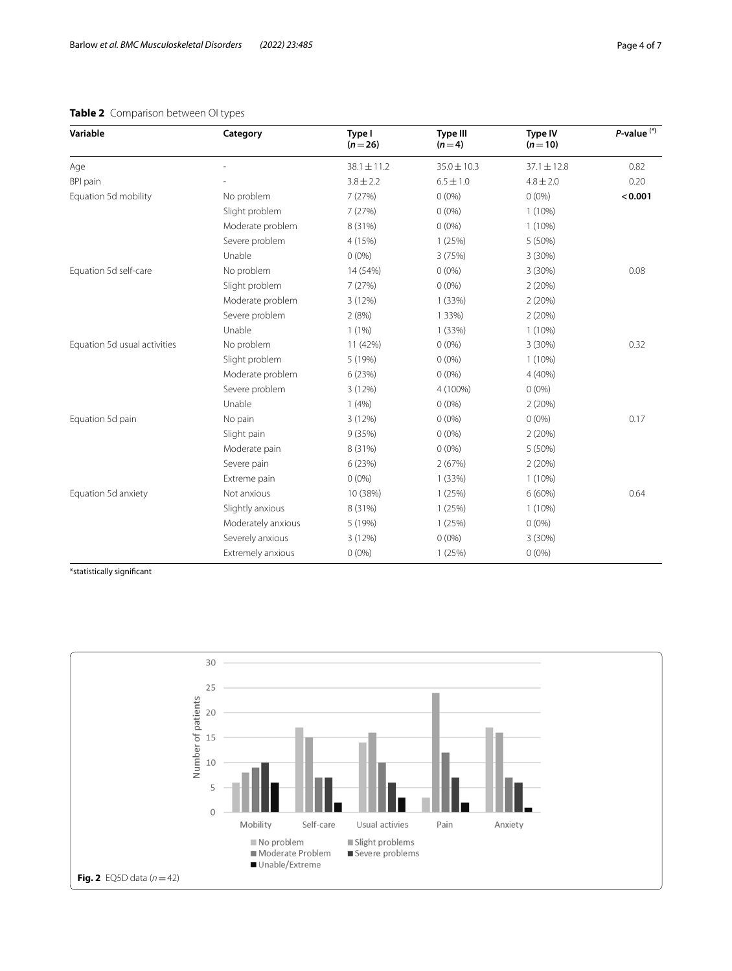# <span id="page-3-0"></span>**Table 2** Comparison between OI types

| Variable                     | Category           | Type I<br>$(n=26)$ | Type III<br>$(n=4)$ | Type IV<br>$(n=10)$ | $P$ -value $(*)$ |
|------------------------------|--------------------|--------------------|---------------------|---------------------|------------------|
| Age                          |                    | $38.1 \pm 11.2$    | $35.0 \pm 10.3$     | $37.1 \pm 12.8$     | 0.82             |
| BPI pain                     |                    | $3.8 \pm 2.2$      | $6.5 \pm 1.0$       | $4.8 \pm 2.0$       | 0.20             |
| Equation 5d mobility         | No problem         | 7 (27%)            | $0(0\%)$            | $0(0\%)$            | < 0.001          |
|                              | Slight problem     | 7(27%)             | $0(0\%)$            | $1(10\%)$           |                  |
|                              | Moderate problem   | 8 (31%)            | $0(0\%)$            | $1(10\%)$           |                  |
|                              | Severe problem     | 4 (15%)            | 1(25%)              | 5 (50%)             |                  |
|                              | Unable             | $0(0\%)$           | 3 (75%)             | 3 (30%)             |                  |
| Equation 5d self-care        | No problem         | 14 (54%)           | $0(0\%)$            | 3(30%)              | 0.08             |
|                              | Slight problem     | 7(27%)             | $0(0\%)$            | 2(20%)              |                  |
|                              | Moderate problem   | 3 (12%)            | 1(33%)              | 2(20%)              |                  |
|                              | Severe problem     | 2(8%)              | 1 3 3 %)            | 2(20%)              |                  |
|                              | Unable             | 1(1%)              | 1(33%)              | $1(10\%)$           |                  |
| Equation 5d usual activities | No problem         | 11 (42%)           | $0(0\%)$            | 3 (30%)             | 0.32             |
|                              | Slight problem     | 5 (19%)            | $0(0\%)$            | $1(10\%)$           |                  |
|                              | Moderate problem   | 6 (23%)            | $0(0\%)$            | 4 (40%)             |                  |
|                              | Severe problem     | 3 (12%)            | 4 (100%)            | $0(0\%)$            |                  |
|                              | Unable             | 1(4%)              | $0(0\%)$            | 2(20%)              |                  |
| Equation 5d pain             | No pain            | 3(12%)             | $0(0\%)$            | $0(0\%)$            | 0.17             |
|                              | Slight pain        | 9 (35%)            | $0(0\%)$            | 2(20%)              |                  |
|                              | Moderate pain      | 8 (31%)            | $0(0\%)$            | 5 (50%)             |                  |
|                              | Severe pain        | 6 (23%)            | 2(67%)              | 2(20%)              |                  |
|                              | Extreme pain       | $0(0\%)$           | 1(33%)              | $1(10\%)$           |                  |
| Equation 5d anxiety          | Not anxious        | 10 (38%)           | 1(25%)              | $6(60\%)$           | 0.64             |
|                              | Slightly anxious   | 8 (31%)            | 1(25%)              | $1(10\%)$           |                  |
|                              | Moderately anxious | 5 (19%)            | 1(25%)              | $0(0\%)$            |                  |
|                              | Severely anxious   | 3(12%)             | $0(0\%)$            | 3 (30%)             |                  |
|                              | Extremely anxious  | $0(0\%)$           | 1(25%)              | $0(0\%)$            |                  |

\*statistically signifcant

<span id="page-3-1"></span>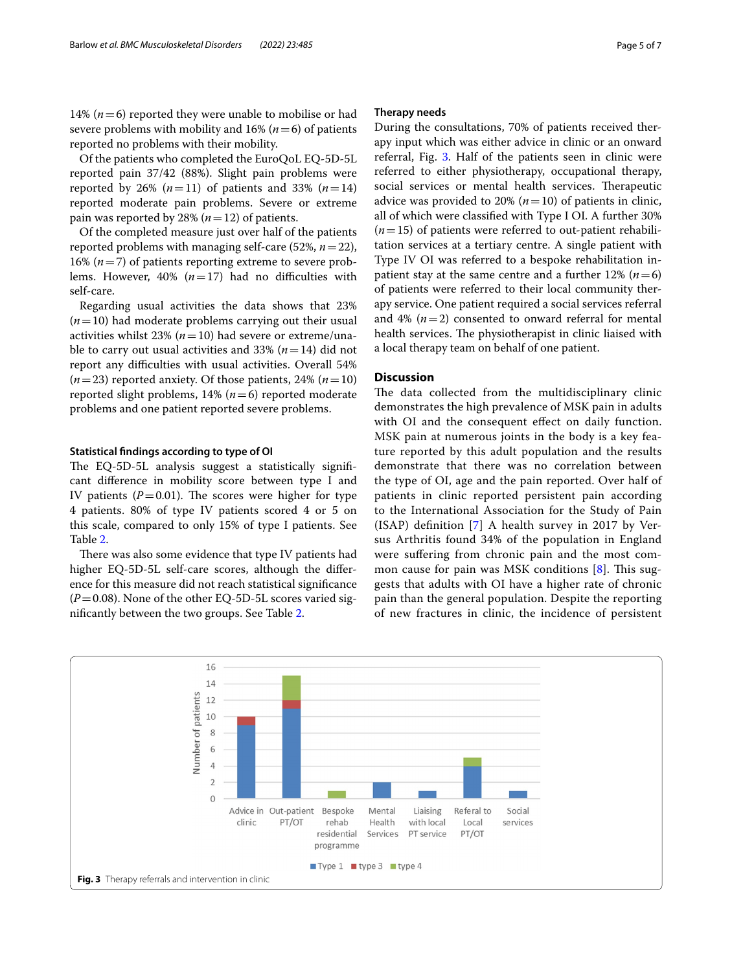14%  $(n=6)$  reported they were unable to mobilise or had severe problems with mobility and  $16\%$  ( $n=6$ ) of patients reported no problems with their mobility.

Of the patients who completed the EuroQoL EQ-5D-5L reported pain 37/42 (88%). Slight pain problems were reported by 26%  $(n=11)$  of patients and 33%  $(n=14)$ reported moderate pain problems. Severe or extreme pain was reported by 28% (*n*=12) of patients.

Of the completed measure just over half of the patients reported problems with managing self-care (52%, *n*=22), 16% (*n*=7) of patients reporting extreme to severe problems. However,  $40\%$  ( $n=17$ ) had no difficulties with self-care.

Regarding usual activities the data shows that 23% (*n*=10) had moderate problems carrying out their usual activities whilst 23% ( $n=10$ ) had severe or extreme/unable to carry out usual activities and 33% (*n*=14) did not report any difficulties with usual activities. Overall 54%  $(n=23)$  reported anxiety. Of those patients, 24%  $(n=10)$ reported slight problems, 14% (*n*=6) reported moderate problems and one patient reported severe problems.

## **Statistical fndings according to type of OI**

The EQ-5D-5L analysis suggest a statistically significant diference in mobility score between type I and IV patients  $(P=0.01)$ . The scores were higher for type 4 patients. 80% of type IV patients scored 4 or 5 on this scale, compared to only 15% of type I patients. See Table [2](#page-3-0).

There was also some evidence that type IV patients had higher EQ-5D-5L self-care scores, although the diference for this measure did not reach statistical signifcance  $(P=0.08)$ . None of the other EQ-5D-5L scores varied signifcantly between the two groups. See Table [2.](#page-3-0)

## **Therapy needs**

During the consultations, 70% of patients received therapy input which was either advice in clinic or an onward referral, Fig. [3.](#page-4-0) Half of the patients seen in clinic were referred to either physiotherapy, occupational therapy, social services or mental health services. Therapeutic advice was provided to 20%  $(n=10)$  of patients in clinic, all of which were classifed with Type I OI. A further 30%  $(n=15)$  of patients were referred to out-patient rehabilitation services at a tertiary centre. A single patient with Type IV OI was referred to a bespoke rehabilitation inpatient stay at the same centre and a further  $12\%$  ( $n=6$ ) of patients were referred to their local community therapy service. One patient required a social services referral and  $4\%$  ( $n=2$ ) consented to onward referral for mental health services. The physiotherapist in clinic liaised with a local therapy team on behalf of one patient.

## **Discussion**

The data collected from the multidisciplinary clinic demonstrates the high prevalence of MSK pain in adults with OI and the consequent effect on daily function. MSK pain at numerous joints in the body is a key feature reported by this adult population and the results demonstrate that there was no correlation between the type of OI, age and the pain reported. Over half of patients in clinic reported persistent pain according to the International Association for the Study of Pain (ISAP) defnition [[7](#page-6-6)] A health survey in 2017 by Versus Arthritis found 34% of the population in England were suffering from chronic pain and the most common cause for pain was MSK conditions  $[8]$  $[8]$ . This suggests that adults with OI have a higher rate of chronic pain than the general population. Despite the reporting of new fractures in clinic, the incidence of persistent

<span id="page-4-0"></span>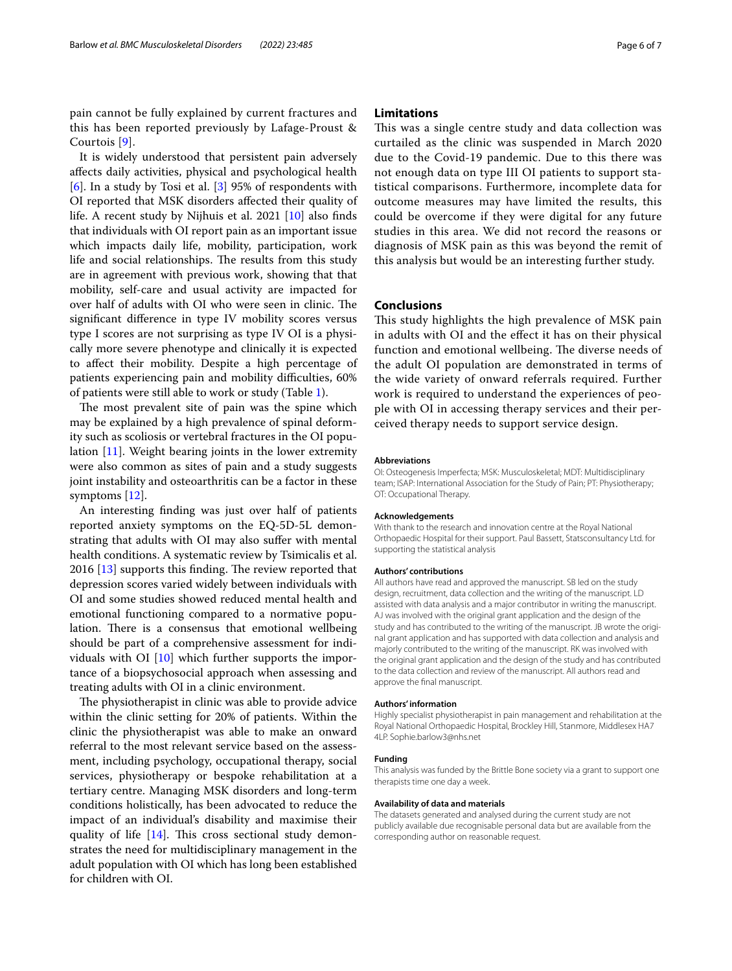pain cannot be fully explained by current fractures and this has been reported previously by Lafage-Proust & Courtois [\[9\]](#page-6-8).

It is widely understood that persistent pain adversely afects daily activities, physical and psychological health [[6\]](#page-6-5). In a study by Tosi et al. [[3\]](#page-6-2) 95% of respondents with OI reported that MSK disorders afected their quality of life. A recent study by Nijhuis et al. 2021 [[10\]](#page-6-9) also fnds that individuals with OI report pain as an important issue which impacts daily life, mobility, participation, work life and social relationships. The results from this study are in agreement with previous work, showing that that mobility, self-care and usual activity are impacted for over half of adults with OI who were seen in clinic. The signifcant diference in type IV mobility scores versus type I scores are not surprising as type IV OI is a physically more severe phenotype and clinically it is expected to afect their mobility. Despite a high percentage of patients experiencing pain and mobility difficulties, 60% of patients were still able to work or study (Table [1\)](#page-2-0).

The most prevalent site of pain was the spine which may be explained by a high prevalence of spinal deformity such as scoliosis or vertebral fractures in the OI population [[11](#page-6-10)]. Weight bearing joints in the lower extremity were also common as sites of pain and a study suggests joint instability and osteoarthritis can be a factor in these symptoms [\[12](#page-6-11)].

An interesting fnding was just over half of patients reported anxiety symptoms on the EQ-5D-5L demonstrating that adults with OI may also sufer with mental health conditions. A systematic review by Tsimicalis et al.  $2016$  [\[13](#page-6-12)] supports this finding. The review reported that depression scores varied widely between individuals with OI and some studies showed reduced mental health and emotional functioning compared to a normative population. There is a consensus that emotional wellbeing should be part of a comprehensive assessment for individuals with OI  $[10]$  $[10]$  $[10]$  which further supports the importance of a biopsychosocial approach when assessing and treating adults with OI in a clinic environment.

The physiotherapist in clinic was able to provide advice within the clinic setting for 20% of patients. Within the clinic the physiotherapist was able to make an onward referral to the most relevant service based on the assessment, including psychology, occupational therapy, social services, physiotherapy or bespoke rehabilitation at a tertiary centre. Managing MSK disorders and long-term conditions holistically, has been advocated to reduce the impact of an individual's disability and maximise their quality of life  $[14]$  $[14]$  $[14]$ . This cross sectional study demonstrates the need for multidisciplinary management in the adult population with OI which has long been established for children with OI.

## **Limitations**

This was a single centre study and data collection was curtailed as the clinic was suspended in March 2020 due to the Covid-19 pandemic. Due to this there was not enough data on type III OI patients to support statistical comparisons. Furthermore, incomplete data for outcome measures may have limited the results, this could be overcome if they were digital for any future studies in this area. We did not record the reasons or diagnosis of MSK pain as this was beyond the remit of this analysis but would be an interesting further study.

## **Conclusions**

This study highlights the high prevalence of MSK pain in adults with OI and the efect it has on their physical function and emotional wellbeing. The diverse needs of the adult OI population are demonstrated in terms of the wide variety of onward referrals required. Further work is required to understand the experiences of people with OI in accessing therapy services and their perceived therapy needs to support service design.

#### **Abbreviations**

OI: Osteogenesis Imperfecta; MSK: Musculoskeletal; MDT: Multidisciplinary team; ISAP: International Association for the Study of Pain; PT: Physiotherapy; OT: Occupational Therapy.

#### **Acknowledgements**

With thank to the research and innovation centre at the Royal National Orthopaedic Hospital for their support. Paul Bassett, Statsconsultancy Ltd. for supporting the statistical analysis

#### **Authors' contributions**

All authors have read and approved the manuscript. SB led on the study design, recruitment, data collection and the writing of the manuscript. LD assisted with data analysis and a major contributor in writing the manuscript. AJ was involved with the original grant application and the design of the study and has contributed to the writing of the manuscript. JB wrote the original grant application and has supported with data collection and analysis and majorly contributed to the writing of the manuscript. RK was involved with the original grant application and the design of the study and has contributed to the data collection and review of the manuscript. All authors read and approve the fnal manuscript.

#### **Authors' information**

Highly specialist physiotherapist in pain management and rehabilitation at the Royal National Orthopaedic Hospital, Brockley Hill, Stanmore, Middlesex HA7 4LP. Sophie.barlow3@nhs.net

#### **Funding**

This analysis was funded by the Brittle Bone society via a grant to support one therapists time one day a week.

#### **Availability of data and materials**

The datasets generated and analysed during the current study are not publicly available due recognisable personal data but are available from the corresponding author on reasonable request.